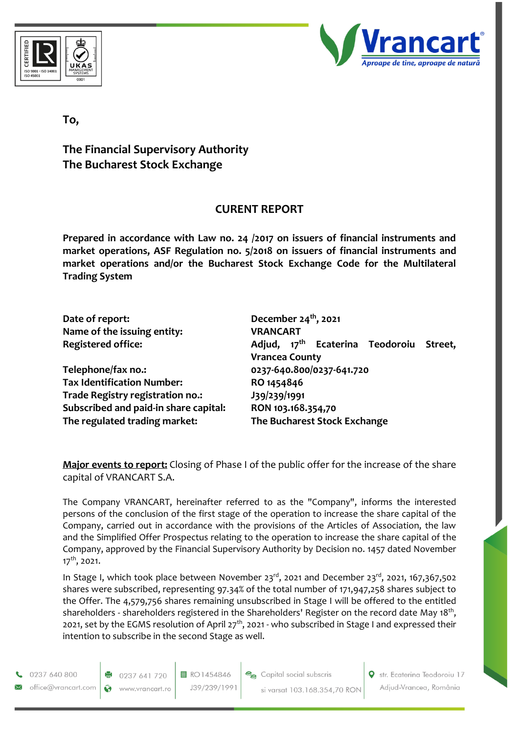



## **To,**

## **The Financial Supervisory Authority The Bucharest Stock Exchange**

## **CURENT REPORT**

**Prepared in accordance with Law no. 24 /2017 on issuers of financial instruments and market operations, ASF Regulation no. 5/2018 on issuers of financial instruments and market operations and/or the Bucharest Stock Exchange Code for the Multilateral Trading System**

| Date of report:                       | December $24th$ , 2021                                                          |
|---------------------------------------|---------------------------------------------------------------------------------|
| Name of the issuing entity:           | <b>VRANCART</b>                                                                 |
| <b>Registered office:</b>             | Adjud, 17 <sup>th</sup> Ecaterina Teodoroiu<br>Street,<br><b>Vrancea County</b> |
| Telephone/fax no.:                    | 0237-640.800/0237-641.720                                                       |
| <b>Tax Identification Number:</b>     | RO 1454846                                                                      |
| Trade Registry registration no.:      | J39/239/1991                                                                    |
| Subscribed and paid-in share capital: | RON 103.168.354,70                                                              |
| The regulated trading market:         | The Bucharest Stock Exchange                                                    |

**Major events to report:** Closing of Phase I of the public offer for the increase of the share capital of VRANCART S.A.

The Company VRANCART, hereinafter referred to as the "Company", informs the interested persons of the conclusion of the first stage of the operation to increase the share capital of the Company, carried out in accordance with the provisions of the Articles of Association, the law and the Simplified Offer Prospectus relating to the operation to increase the share capital of the Company, approved by the Financial Supervisory Authority by Decision no. 1457 dated November 17<sup>th</sup>, 2021.

In Stage I, which took place between November 23<sup>rd</sup>, 2021 and December 23<sup>rd</sup>, 2021, 167,367,502 shares were subscribed, representing 97.34% of the total number of 171,947,258 shares subject to the Offer. The 4,579,756 shares remaining unsubscribed in Stage I will be offered to the entitled shareholders - shareholders registered in the Shareholders' Register on the record date May 18<sup>th</sup>, 2021, set by the EGMS resolution of April 27<sup>th</sup>, 2021 - who subscribed in Stage I and expressed their intention to subscribe in the second Stage as well.

0237 640 800 office@vrancart.com

0237 641 720 Ø www.vrancart.ro

目 RO1454846 J39/239/1991 Capital social subscris si varsat 103.168.354,70 RON Str. Ecaterina Teodoroiu 17 Adjud-Vrancea, România